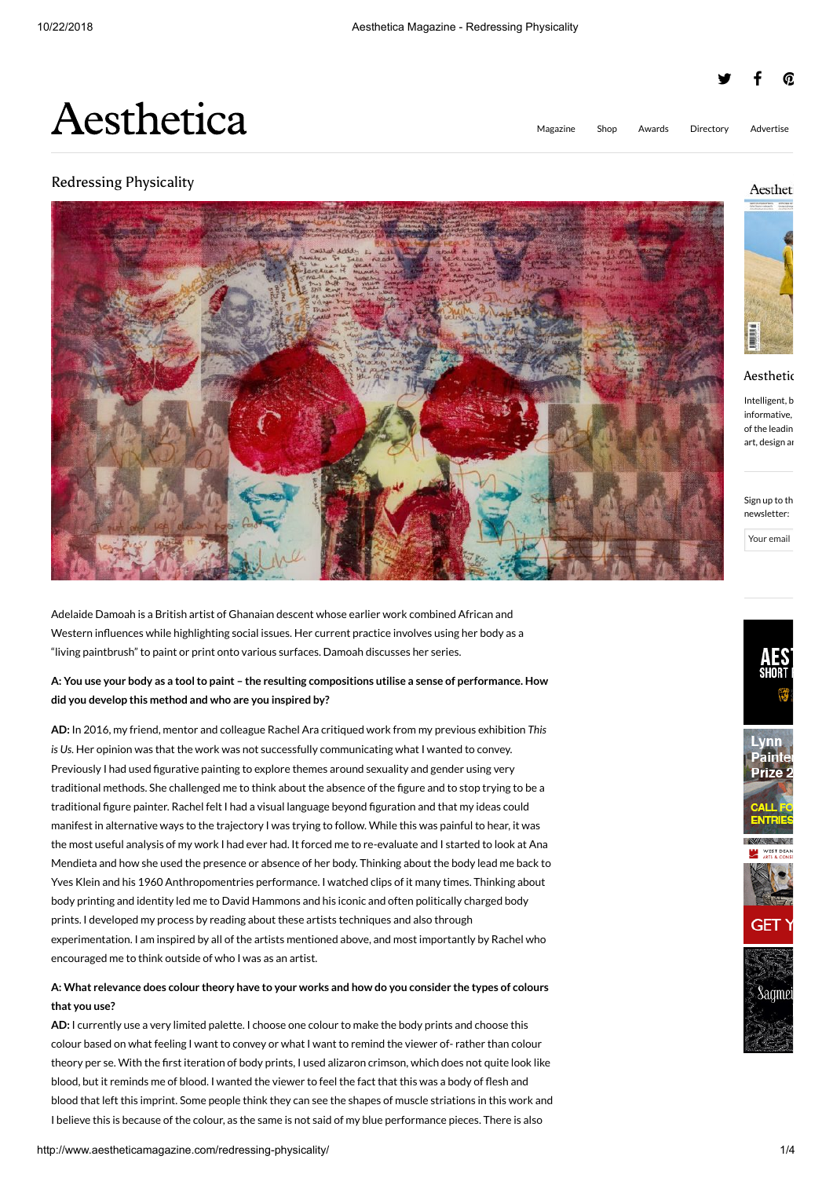# y f @

[Magazine](http://www.aestheticamagazine.com/digital/) [Shop](http://www.aestheticamagazine.com/shop/) Awards [Directory](http://www.aestheticamagazine.com/directory/) [Advertise](http://www.aestheticamagazine.com/advertise/)

# Aesthetica

## Redressing Physicality



Adelaide Damoah is a British artist of Ghanaian descent whose earlier work combined African and Western influences while highlighting social issues. Her current practice involves using her body as a "living paintbrush" to paint or print onto various surfaces. Damoah discusses her series.

## **A: You use your body as a tool to paint – the resulting compositions utilise a sense of performance. How did you develop this method and who are you inspired by?**

**AD:** In 2016, my friend, mentor and colleague Rachel Ara critiqued work from my previous exhibition *This is Us*. Her opinion was that the work was not successfully communicating what I wanted to convey. Previously I had used figurative painting to explore themes around sexuality and gender using very traditional methods. She challenged me to think about the absence of the figure and to stop trying to be a traditional figure painter. Rachel felt I had a visual language beyond figuration and that my ideas could manifest in alternative ways to the trajectory I was trying to follow. While this was painful to hear, it was the most useful analysis of my work I had ever had. It forced me to re-evaluate and I started to look at Ana Mendieta and how she used the presence or absence of her body. Thinking about the body lead me back to Yves Klein and his 1960 Anthropomentries performance. I watched clips of it many times. Thinking about body printing and identity led me to David Hammons and his iconic and often politically charged body prints. I developed my process by reading about these artists techniques and also through experimentation. I am inspired by all of the artists mentioned above, and most importantly by Rachel who encouraged me to think outside of who I was as an artist.

## **A: What relevance does colour theory have to your works and how do you consider the types of colours that you use?**

**AD:** I currently use a very limited palette. I choose one colour to make the body prints and choose this colour based on what feeling I want to convey or what I want to remind the viewer of- rather than colour theory per se. With the first iteration of body prints, I used alizaron crimson, which does not quite look like blood, but it reminds me of blood. I wanted the viewer to feel the fact that this was a body of flesh and blood that left this imprint. Some people think they can see the shapes of muscle striations in this work and I believe this is because of the colour, as the same is not said of my blue performance pieces. There is also

## Aestheti



#### Aesthetic

Intelligent, b informative, of the leadin art, design an

Sign up to th newsletter:

Your email



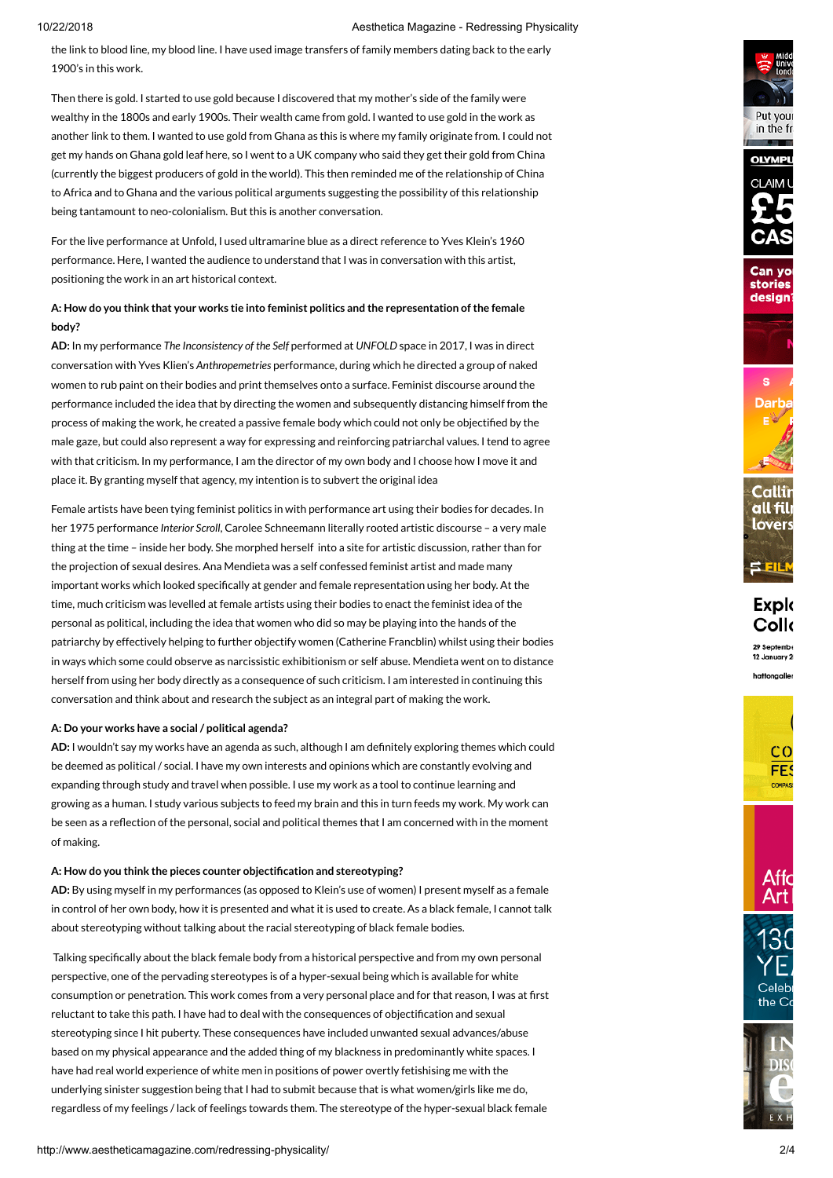#### 10/22/2018 Aesthetica Magazine - Redressing Physicality

the link to blood line, my blood line. I have used image transfers of family members dating back to the early 1900's in this work.

Then there is gold. I started to use gold because I discovered that my mother's side of the family were wealthy in the 1800s and early 1900s. Their wealth came from gold. I wanted to use gold in the work as another link to them. I wanted to use gold from Ghana as this is where my family originate from. I could not get my hands on Ghana gold leaf here, so I went to a UK company who said they get their gold from China (currently the biggest producers of gold in the world). This then reminded me of the relationship of China to Africa and to Ghana and the various political arguments suggesting the possibility of this relationship being tantamount to neo-colonialism. But this is another conversation.

For the live performance at Unfold, I used ultramarine blue as a direct reference to Yves Klein's 1960 performance. Here, I wanted the audience to understand that I was in conversation with this artist, positioning the work in an art historical context.

## **A: How do you think that your works tie into feminist politics and the representation of the female body?**

**AD:** In my performance *The Inconsistency of the Self* performed at *UNFOLD* space in 2017, I was in direct conversation with Yves Klien's *Anthropemetries* performance, during which he directed a group of naked women to rub paint on their bodies and print themselves onto a surface. Feminist discourse around the performance included the idea that by directing the women and subsequently distancing himself from the process of making the work, he created a passive female body which could not only be objectified by the male gaze, but could also represent a way for expressing and reinforcing patriarchal values. I tend to agree with that criticism. In my performance, I am the director of my own body and I choose how I move it and place it. By granting myself that agency, my intention is to subvert the original idea

Female artists have been tying feminist politics in with performance art using their bodies for decades. In her 1975 performance *Interior Scroll*, Carolee Schneemann literally rooted artistic discourse – a very male thing at the time – inside her body. She morphed herself into a site for artistic discussion, rather than for the projection of sexual desires. Ana Mendieta was a self confessed feminist artist and made many important works which looked specifically at gender and female representation using her body. At the time, much criticism was levelled at female artists using their bodies to enact the feminist idea of the personal as political, including the idea that women who did so may be playing into the hands of the patriarchy by effectively helping to further objectify women (Catherine Francblin) whilst using their bodies in ways which some could observe as narcissistic exhibitionism or self abuse. Mendieta went on to distance herself from using her body directly as a consequence of such criticism. I am interested in continuing this conversation and think about and research the subject as an integral part of making the work.

#### **A: Do your works have a social / political agenda?**

**AD:** I wouldn't say my works have an agenda as such, although I am definitely exploring themes which could be deemed as political / social. I have my own interests and opinions which are constantly evolving and expanding through study and travel when possible. I use my work as a tool to continue learning and growing as a human. I study various subjects to feed my brain and this in turn feeds my work. My work can be seen as a reflection of the personal, social and political themes that I am concerned with in the moment of making.

#### **A: How do you think the pieces counter objectification and stereotyping?**

**AD:** By using myself in my performances (as opposed to Klein's use of women) I present myself as a female in control of her own body, how it is presented and what it is used to create. As a black female, I cannot talk about stereotyping without talking about the racial stereotyping of black female bodies.

Talking specifically about the black female body from a historical perspective and from my own personal perspective, one of the pervading stereotypes is of a hyper-sexual being which is available for white consumption or penetration. This work comes from a very personal place and for that reason, I was at first reluctant to take this path. I have had to deal with the consequences of objectification and sexual stereotyping since I hit puberty. These consequences have included unwanted sexual advances/abuse based on my physical appearance and the added thing of my blackness in predominantly white spaces. I have had real world experience of white men in positions of power overtly fetishising me with the underlying sinister suggestion being that I had to submit because that is what women/girls like me do, regardless of my feelings / lack of feelings towards them. The stereotype of the hyper-sexual black female



Put your in the fr







**Explo** Collo 29 Septemb

hattongaller







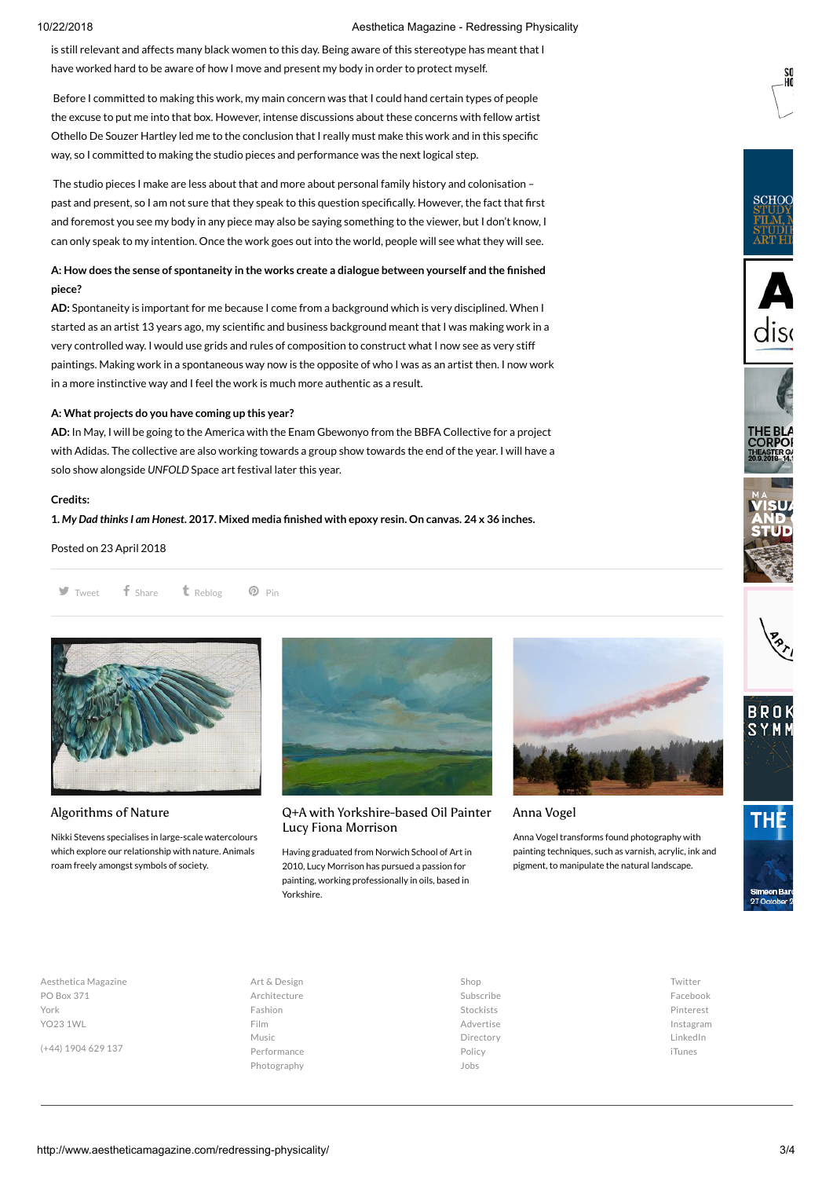#### 10/22/2018 Aesthetica Magazine - Redressing Physicality

is still relevant and affects many black women to this day. Being aware of this stereotype has meant that I have worked hard to be aware of how I move and present my body in order to protect myself.

Before I committed to making this work, my main concern was that I could hand certain types of people the excuse to put me into that box. However, intense discussions about these concerns with fellow artist Othello De Souzer Hartley led me to the conclusion that I really must make this work and in this specific way, so I committed to making the studio pieces and performance was the next logical step.

The studio pieces I make are less about that and more about personal family history and colonisation – past and present, so I am not sure that they speak to this question specifically. However, the fact that first and foremost you see my body in any piece may also be saying something to the viewer, but I don't know, I can only speak to my intention. Once the work goes out into the world, people will see what they will see.

#### **A: How does the sense of spontaneity in the works create a dialogue between yourself and the finished piece?**

**AD:** Spontaneity is important for me because I come from a background which is very disciplined. When I started as an artist 13 years ago, my scientific and business background meant that I was making work in a very controlled way. I would use grids and rules of composition to construct what I now see as very stiff paintings. Making work in a spontaneous way now is the opposite of who I was as an artist then. I now work in a more instinctive way and I feel the work is much more authentic as a result.

#### **A: What projects do you have coming up this year?**

**AD:** In May, I will be going to the America with the Enam Gbewonyo from the BBFA Collective for a project with Adidas. The collective are also working towards a group show towards the end of the year. I will have a solo show alongside *UNFOLD* Space art festival later this year.

#### **Credits:**

**1.** *My Dad thinks I am Honest***. 2017. Mixed media finished with epoxy resin. On canvas. 24 x 36 inches.**

Posted on 23 April 2018

 $\blacktriangleright$  [Tweet](http://twitter.com/intent/tweet?text=Adelaide+Damoah%27s+practice+involves+using+her+body+as+a+%E2%80%9Cliving+paintbrush%E2%80%9D+to+paint+or+print+onto+various+surfaces.+Damoah+discusses+her+series.&url=http%3A%2F%2Faestheti.cc%2Fefwy4&via=AestheticaMag&related=AestheticaMag) **f** [Share](https://www.facebook.com/sharer/sharer.php?u=http%3A%2F%2Faestheti.cc%2Fefwy4) **t** [Reblog](http://tumblr.com/share/link?url=http%3A%2F%2Faestheti.cc%2Fefwy4&name=Redressing+Physicality&description=Adelaide+Damoah%27s+practice+involves+using+her+body+as+a+%E2%80%9Cliving+paintbrush%E2%80%9D+to+paint+or+print+onto+various+surfaces.+Damoah+discusses+her+series.)  $\heartsuit$  Pin



#### Algorithms of Nature

Nikki Stevens specialises in large-scale watercolours which explore our relationship with nature. Animals roam freely amongst symbols of society.



#### [Q+A with Yorkshire-based Oil Painter](http://www.aestheticamagazine.com/qa-yorkshire-based-oil-painter-lucy-fiona-morrison/) Lucy Fiona Morrison

Having graduated from Norwich School of Art in 2010, Lucy Morrison has pursued a passion for painting, working professionally in oils, based in Yorkshire.



#### Anna Vogel

Anna Vogel transforms found photography with painting techniques, such as varnish, acrylic, ink and pigment, to manipulate the natural landscape.



**SCHOO** 



Aesthetica Magazine PO Box 371 York YO23 1WL

(+44) 1904 629 137

#### Art & [Design](http://www.aestheticamagazine.com/category/art-design/) [Architecture](http://www.aestheticamagazine.com/category/architecture/) [Fashion](http://www.aestheticamagazine.com/category/fashion/) [Film](http://www.aestheticamagazine.com/category/film/) [Music](http://www.aestheticamagazine.com/category/music/) [Performance](http://www.aestheticamagazine.com/category/performance/) [Photography](http://www.aestheticamagazine.com/category/photography/)

[Shop](http://www.aestheticamagazine.com/shop/) [Subscribe](http://www.aestheticamagazine.com/shop/subscribe/) [Stockists](http://www.aestheticamagazine.com/shop/stockists/) [Advertise](http://www.aestheticamagazine.com/advertise/) [Directory](http://www.aestheticamagazine.com/directory/) [Policy](http://www.aestheticamagazine.com/shop/refund-policy/) [Jobs](http://www.aestheticamagazine.com/jobs/)

[Twitter](https://twitter.com/AestheticaMag) [Facebook](https://www.facebook.com/aestheticamagazine) [Pinterest](https://www.pinterest.com/aestheticamag/) [Instagram](https://www.instagram.com/aestheticamag/) [LinkedIn](http://linkedin.com/company/6904838) [iTunes](https://itunes.apple.com/us/app/aesthetica/id888670809?ls=1&mt=8)